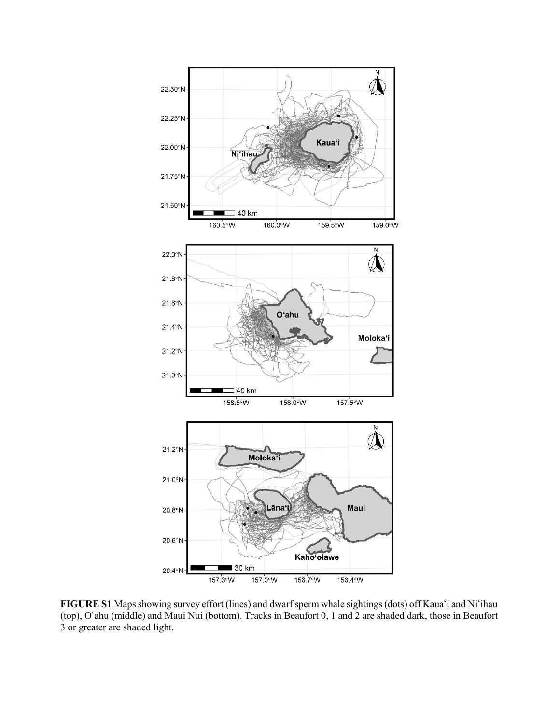

**FIGURE S1** Maps showing survey effort (lines) and dwarf sperm whale sightings (dots) off Kaua'i and Ni'ihau (top), O#ahu (middle) and Maui Nui (bottom). Tracks in Beaufort 0, 1 and 2 are shaded dark, those in Beaufort 3 or greater are shaded light.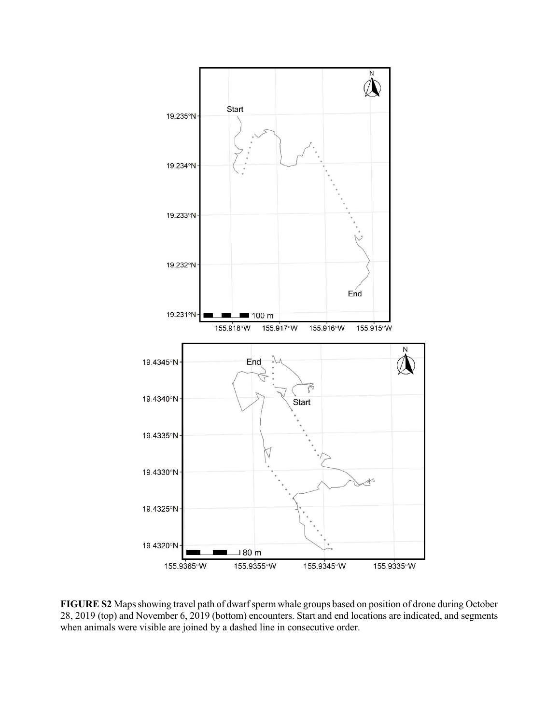

**FIGURE S2** Maps showing travel path of dwarf sperm whale groups based on position of drone during October 28, 2019 (top) and November 6, 2019 (bottom) encounters. Start and end locations are indicated, and segments when animals were visible are joined by a dashed line in consecutive order.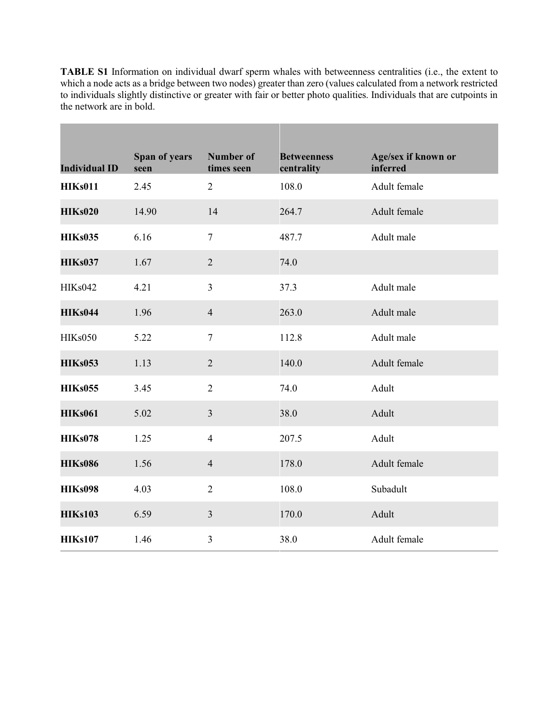**TABLE S1** Information on individual dwarf sperm whales with betweenness centralities (i.e., the extent to which a node acts as a bridge between two nodes) greater than zero (values calculated from a network restricted to individuals slightly distinctive or greater with fair or better photo qualities. Individuals that are cutpoints in the network are in bold.

П

| <b>Individual ID</b> | Span of years<br>seen | <b>Number of</b><br>times seen | <b>Betweenness</b><br>centrality | Age/sex if known or<br>inferred |
|----------------------|-----------------------|--------------------------------|----------------------------------|---------------------------------|
| <b>HIKs011</b>       | 2.45                  | $\overline{2}$                 | 108.0                            | Adult female                    |
| <b>HIKs020</b>       | 14.90                 | 14                             | 264.7                            | Adult female                    |
| <b>HIKs035</b>       | 6.16                  | $\tau$                         | 487.7                            | Adult male                      |
| <b>HIKs037</b>       | 1.67                  | $\overline{2}$                 | 74.0                             |                                 |
| <b>HIKs042</b>       | 4.21                  | $\overline{3}$                 | 37.3                             | Adult male                      |
| <b>HIKs044</b>       | 1.96                  | $\overline{4}$                 | 263.0                            | Adult male                      |
| <b>HIKs050</b>       | 5.22                  | $\tau$                         | 112.8                            | Adult male                      |
| <b>HIKs053</b>       | 1.13                  | $\overline{2}$                 | 140.0                            | Adult female                    |
| <b>HIKs055</b>       | 3.45                  | $\overline{2}$                 | 74.0                             | Adult                           |
| <b>HIKs061</b>       | 5.02                  | $\overline{3}$                 | 38.0                             | Adult                           |
| <b>HIKs078</b>       | 1.25                  | $\overline{4}$                 | 207.5                            | Adult                           |
| <b>HIKs086</b>       | 1.56                  | $\overline{4}$                 | 178.0                            | Adult female                    |
| <b>HIKs098</b>       | 4.03                  | $\overline{2}$                 | 108.0                            | Subadult                        |
| <b>HIKs103</b>       | 6.59                  | $\mathfrak{Z}$                 | 170.0                            | Adult                           |
| <b>HIKs107</b>       | 1.46                  | $\overline{3}$                 | 38.0                             | Adult female                    |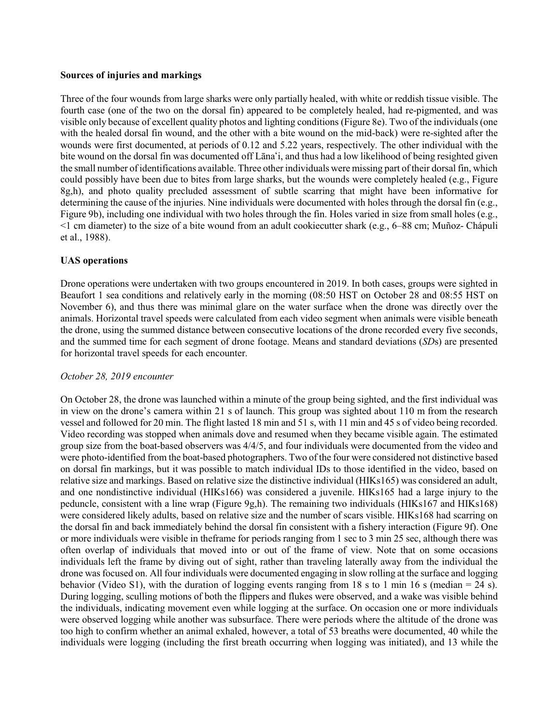### **Sources of injuries and markings**

Three of the four wounds from large sharks were only partially healed, with white or reddish tissue visible. The fourth case (one of the two on the dorsal fin) appeared to be completely healed, had re-pigmented, and was visible only because of excellent quality photos and lighting conditions (Figure 8e). Two of the individuals(one with the healed dorsal fin wound, and the other with a bite wound on the mid-back) were re-sighted after the wounds were first documented, at periods of 0.12 and 5.22 years, respectively. The other individual with the bite wound on the dorsal fin was documented off Lāna'i, and thus had a low likelihood of being resighted given the small number of identifications available. Three other individuals were missing part of their dorsal fin, which could possibly have been due to bites from large sharks, but the wounds were completely healed (e.g., Figure 8g,h), and photo quality precluded assessment of subtle scarring that might have been informative for determining the cause of the injuries. Nine individuals were documented with holes through the dorsal fin (e.g., Figure 9b), including one individual with two holes through the fin. Holes varied in size from small holes (e.g., <1 cm diameter) to the size of a bite wound from an adult cookiecutter shark (e.g., 6–88 cm; Muñoz- Chápuli et al., 1988).

### **UAS operations**

Drone operations were undertaken with two groups encountered in 2019. In both cases, groups were sighted in Beaufort 1 sea conditions and relatively early in the morning (08:50 HST on October 28 and 08:55 HST on November 6), and thus there was minimal glare on the water surface when the drone was directly over the animals. Horizontal travel speeds were calculated from each video segment when animals were visible beneath the drone, using the summed distance between consecutive locations of the drone recorded every five seconds, and the summed time for each segment of drone footage. Means and standard deviations (*SD*s) are presented for horizontal travel speeds for each encounter.

#### *October 28, 2019 encounter*

On October 28, the drone was launched within a minute of the group being sighted, and the first individual was in view on the drone's camera within 21 s of launch. This group was sighted about 110 m from the research vessel and followed for 20 min. The flight lasted 18 min and 51 s, with 11 min and 45 s of video being recorded. Video recording was stopped when animals dove and resumed when they became visible again. The estimated group size from the boat-based observers was 4/4/5, and four individuals were documented from the video and were photo-identified from the boat-based photographers. Two of the four were considered not distinctive based on dorsal fin markings, but it was possible to match individual IDs to those identified in the video, based on relative size and markings. Based on relative size the distinctive individual (HIKs165) was considered an adult, and one nondistinctive individual (HIKs166) was considered a juvenile. HIKs165 had a large injury to the peduncle, consistent with a line wrap (Figure 9g,h). The remaining two individuals (HIKs167 and HIKs168) were considered likely adults, based on relative size and the number of scars visible. HIKs168 had scarring on the dorsal fin and back immediately behind the dorsal fin consistent with a fishery interaction (Figure 9f). One or more individuals were visible in theframe for periods ranging from 1 sec to 3 min 25 sec, although there was often overlap of individuals that moved into or out of the frame of view. Note that on some occasions individuals left the frame by diving out of sight, rather than traveling laterally away from the individual the drone wasfocused on. All four individuals were documented engaging in slow rolling at the surface and logging behavior (Video S1), with the duration of logging events ranging from 18 s to 1 min 16 s (median = 24 s). During logging, sculling motions of both the flippers and flukes were observed, and a wake was visible behind the individuals, indicating movement even while logging at the surface. On occasion one or more individuals were observed logging while another was subsurface. There were periods where the altitude of the drone was too high to confirm whether an animal exhaled, however, a total of 53 breaths were documented, 40 while the individuals were logging (including the first breath occurring when logging was initiated), and 13 while the